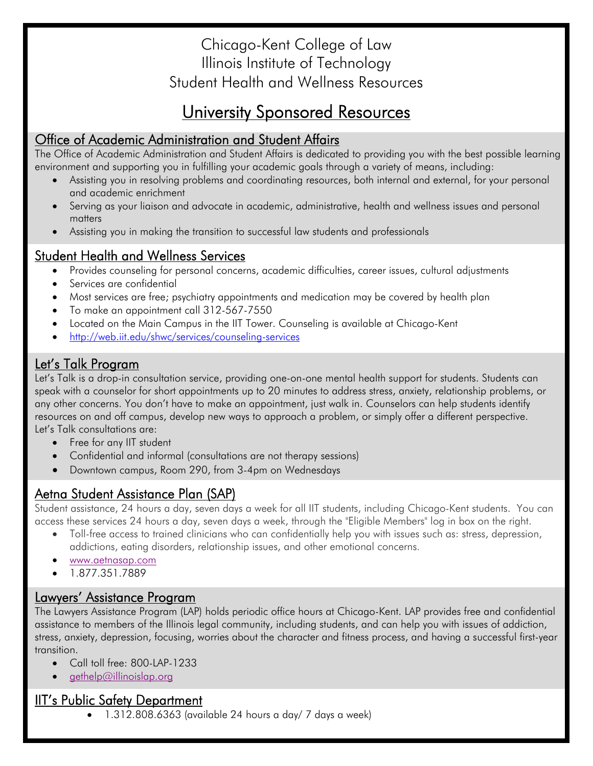## Chicago-Kent College of Law Illinois Institute of Technology Student Health and Wellness Resources

# University Sponsored Resources

## Office of Academic Administration and Student Affairs

The Office of Academic Administration and Student Affairs is dedicated to providing you with the best possible learning environment and supporting you in fulfilling your academic goals through a variety of means, including:

- Assisting you in resolving problems and coordinating resources, both internal and external, for your personal and academic enrichment
- Serving as your liaison and advocate in academic, administrative, health and wellness issues and personal matters
- Assisting you in making the transition to successful law students and professionals

### Student Health and Wellness Services

- Provides counseling for personal concerns, academic difficulties, career issues, cultural adjustments
- Services are confidential
- Most services are free; psychiatry appointments and medication may be covered by health plan
- To make an appointment call 312-567-7550
- Located on the Main Campus in the IIT Tower. Counseling is available at Chicago-Kent
- http://web.iit.edu/shwc/services/counseling-services

## Let's Talk Program

Let's Talk is a drop-in consultation service, providing one-on-one mental health support for students. Students can speak with a counselor for short appointments up to 20 minutes to address stress, anxiety, relationship problems, or any other concerns. You don't have to make an appointment, just walk in. Counselors can help students identify resources on and off campus, develop new ways to approach a problem, or simply offer a different perspective. Let's Talk consultations are:

- Free for any IIT student
- Confidential and informal (consultations are not therapy sessions)
- Downtown campus, Room 290, from 3-4pm on Wednesdays

## Aetna Student Assistance Plan (SAP)

Student assistance, 24 hours a day, seven days a week for all IIT students, including Chicago-Kent students. You can access these services 24 hours a day, seven days a week, through the "Eligible Members" log in box on the right.

- Toll-free access to trained clinicians who can confidentially help you with issues such as: stress, depression, addictions, eating disorders, relationship issues, and other emotional concerns.
- www.aetnasap.com
- 1.877.351.7889

## Lawyers' Assistance Program

The Lawyers Assistance Program (LAP) holds periodic office hours at Chicago-Kent. LAP provides free and confidential assistance to members of the Illinois legal community, including students, and can help you with issues of addiction, stress, anxiety, depression, focusing, worries about the character and fitness process, and having a successful first-year transition.

- Call toll free: 800-LAP-1233
- gethelp@illinoislap.org

## IIT's Public Safety Department

 $\bullet$  1.312.808.6363 (available 24 hours a day/ 7 days a week)